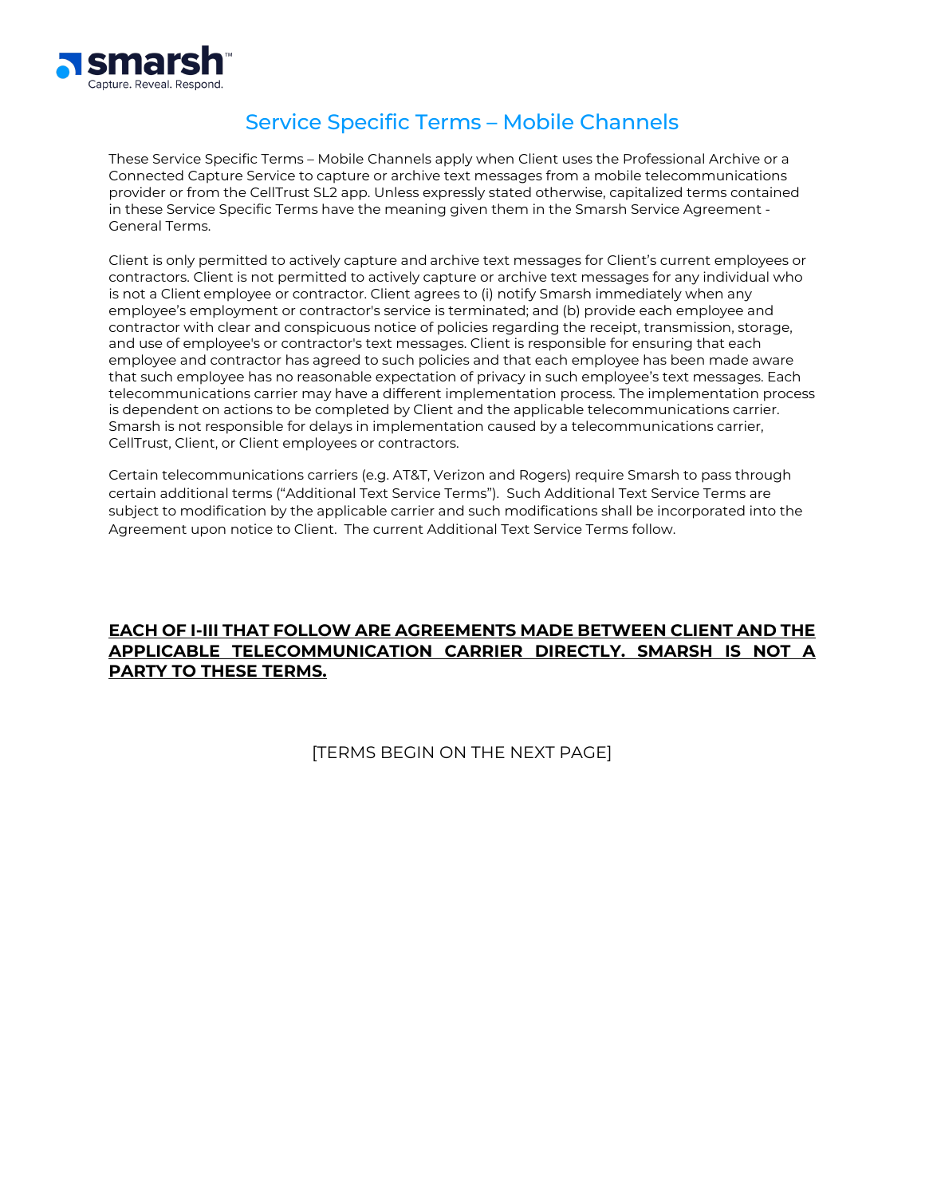

# Service Specific Terms – Mobile Channels

These Service Specific Terms – Mobile Channels apply when Client uses the Professional Archive or a Connected Capture Service to capture or archive text messages from a mobile telecommunications provider or from the CellTrust SL2 app. Unless expressly stated otherwise, capitalized terms contained in these Service Specific Terms have the meaning given them in the Smarsh Service Agreement - General Terms.

Client is only permitted to actively capture and archive text messages for Client's current employees or contractors. Client is not permitted to actively capture or archive text messages for any individual who is not a Client employee or contractor. Client agrees to (i) notify Smarsh immediately when any employee's employment or contractor's service is terminated; and (b) provide each employee and contractor with clear and conspicuous notice of policies regarding the receipt, transmission, storage, and use of employee's or contractor's text messages. Client is responsible for ensuring that each employee and contractor has agreed to such policies and that each employee has been made aware that such employee has no reasonable expectation of privacy in such employee's text messages. Each telecommunications carrier may have a different implementation process. The implementation process is dependent on actions to be completed by Client and the applicable telecommunications carrier. Smarsh is not responsible for delays in implementation caused by a telecommunications carrier, CellTrust, Client, or Client employees or contractors.

Certain telecommunications carriers (e.g. AT&T, Verizon and Rogers) require Smarsh to pass through certain additional terms ("Additional Text Service Terms"). Such Additional Text Service Terms are subject to modification by the applicable carrier and such modifications shall be incorporated into the Agreement upon notice to Client. The current Additional Text Service Terms follow.

# **EACH OF I-III THAT FOLLOW ARE AGREEMENTS MADE BETWEEN CLIENT AND THE APPLICABLE TELECOMMUNICATION CARRIER DIRECTLY. SMARSH IS NOT A PARTY TO THESE TERMS.**

[TERMS BEGIN ON THE NEXT PAGE]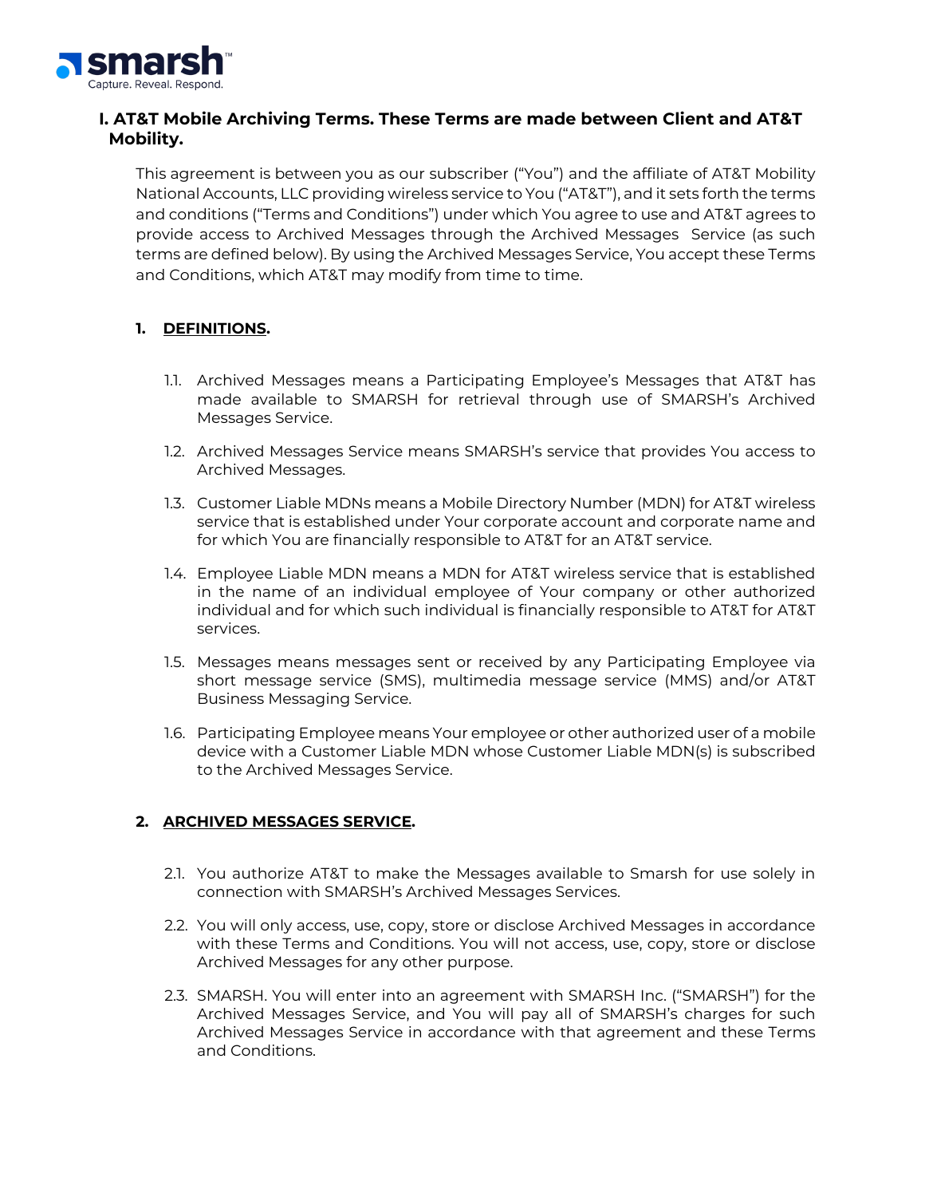

# **I. AT&T Mobile Archiving Terms. These Terms are made between Client and AT&T Mobility.**

This agreement is between you as our subscriber ("You") and the affiliate of AT&T Mobility National Accounts, LLC providing wireless service to You ("AT&T"), and it sets forth the terms and conditions ("Terms and Conditions") under which You agree to use and AT&T agrees to provide access to Archived Messages through the Archived Messages Service (as such terms are defined below). By using the Archived Messages Service, You accept these Terms and Conditions, which AT&T may modify from time to time.

## **1. DEFINITIONS.**

- 1.1. Archived Messages means a Participating Employee's Messages that AT&T has made available to SMARSH for retrieval through use of SMARSH's Archived Messages Service.
- 1.2. Archived Messages Service means SMARSH's service that provides You access to Archived Messages.
- 1.3. Customer Liable MDNs means a Mobile Directory Number (MDN) for AT&T wireless service that is established under Your corporate account and corporate name and for which You are financially responsible to AT&T for an AT&T service.
- 1.4. Employee Liable MDN means a MDN for AT&T wireless service that is established in the name of an individual employee of Your company or other authorized individual and for which such individual is financially responsible to AT&T for AT&T services.
- 1.5. Messages means messages sent or received by any Participating Employee via short message service (SMS), multimedia message service (MMS) and/or AT&T Business Messaging Service.
- 1.6. Participating Employee means Your employee or other authorized user of a mobile device with a Customer Liable MDN whose Customer Liable MDN(s) is subscribed to the Archived Messages Service.

## **2. ARCHIVED MESSAGES SERVICE.**

- 2.1. You authorize AT&T to make the Messages available to Smarsh for use solely in connection with SMARSH's Archived Messages Services.
- 2.2. You will only access, use, copy, store or disclose Archived Messages in accordance with these Terms and Conditions. You will not access, use, copy, store or disclose Archived Messages for any other purpose.
- 2.3. SMARSH. You will enter into an agreement with SMARSH Inc. ("SMARSH") for the Archived Messages Service, and You will pay all of SMARSH's charges for such Archived Messages Service in accordance with that agreement and these Terms and Conditions.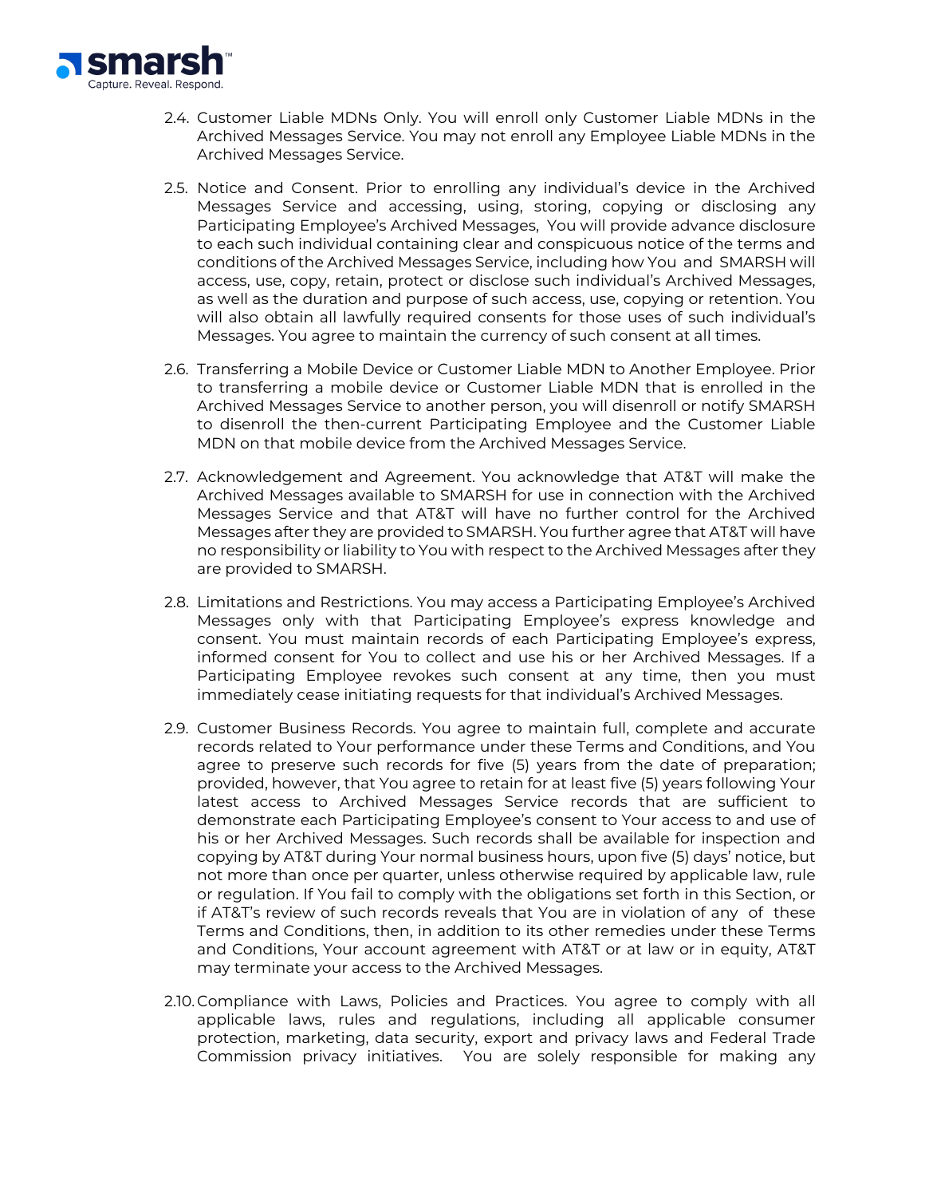

- 2.4. Customer Liable MDNs Only. You will enroll only Customer Liable MDNs in the Archived Messages Service. You may not enroll any Employee Liable MDNs in the Archived Messages Service.
- 2.5. Notice and Consent. Prior to enrolling any individual's device in the Archived Messages Service and accessing, using, storing, copying or disclosing any Participating Employee's Archived Messages, You will provide advance disclosure to each such individual containing clear and conspicuous notice of the terms and conditions of the Archived Messages Service, including how You and SMARSH will access, use, copy, retain, protect or disclose such individual's Archived Messages, as well as the duration and purpose of such access, use, copying or retention. You will also obtain all lawfully required consents for those uses of such individual's Messages. You agree to maintain the currency of such consent at all times.
- 2.6. Transferring a Mobile Device or Customer Liable MDN to Another Employee. Prior to transferring a mobile device or Customer Liable MDN that is enrolled in the Archived Messages Service to another person, you will disenroll or notify SMARSH to disenroll the then-current Participating Employee and the Customer Liable MDN on that mobile device from the Archived Messages Service.
- 2.7. Acknowledgement and Agreement. You acknowledge that AT&T will make the Archived Messages available to SMARSH for use in connection with the Archived Messages Service and that AT&T will have no further control for the Archived Messages after they are provided to SMARSH. You further agree that AT&T will have no responsibility or liability to You with respect to the Archived Messages after they are provided to SMARSH.
- 2.8. Limitations and Restrictions. You may access a Participating Employee's Archived Messages only with that Participating Employee's express knowledge and consent. You must maintain records of each Participating Employee's express, informed consent for You to collect and use his or her Archived Messages. If a Participating Employee revokes such consent at any time, then you must immediately cease initiating requests for that individual's Archived Messages.
- 2.9. Customer Business Records. You agree to maintain full, complete and accurate records related to Your performance under these Terms and Conditions, and You agree to preserve such records for five (5) years from the date of preparation; provided, however, that You agree to retain for at least five (5) years following Your latest access to Archived Messages Service records that are sufficient to demonstrate each Participating Employee's consent to Your access to and use of his or her Archived Messages. Such records shall be available for inspection and copying by AT&T during Your normal business hours, upon five (5) days' notice, but not more than once per quarter, unless otherwise required by applicable law, rule or regulation. If You fail to comply with the obligations set forth in this Section, or if AT&T's review of such records reveals that You are in violation of any of these Terms and Conditions, then, in addition to its other remedies under these Terms and Conditions, Your account agreement with AT&T or at law or in equity, AT&T may terminate your access to the Archived Messages.
- 2.10.Compliance with Laws, Policies and Practices. You agree to comply with all applicable laws, rules and regulations, including all applicable consumer protection, marketing, data security, export and privacy laws and Federal Trade Commission privacy initiatives. You are solely responsible for making any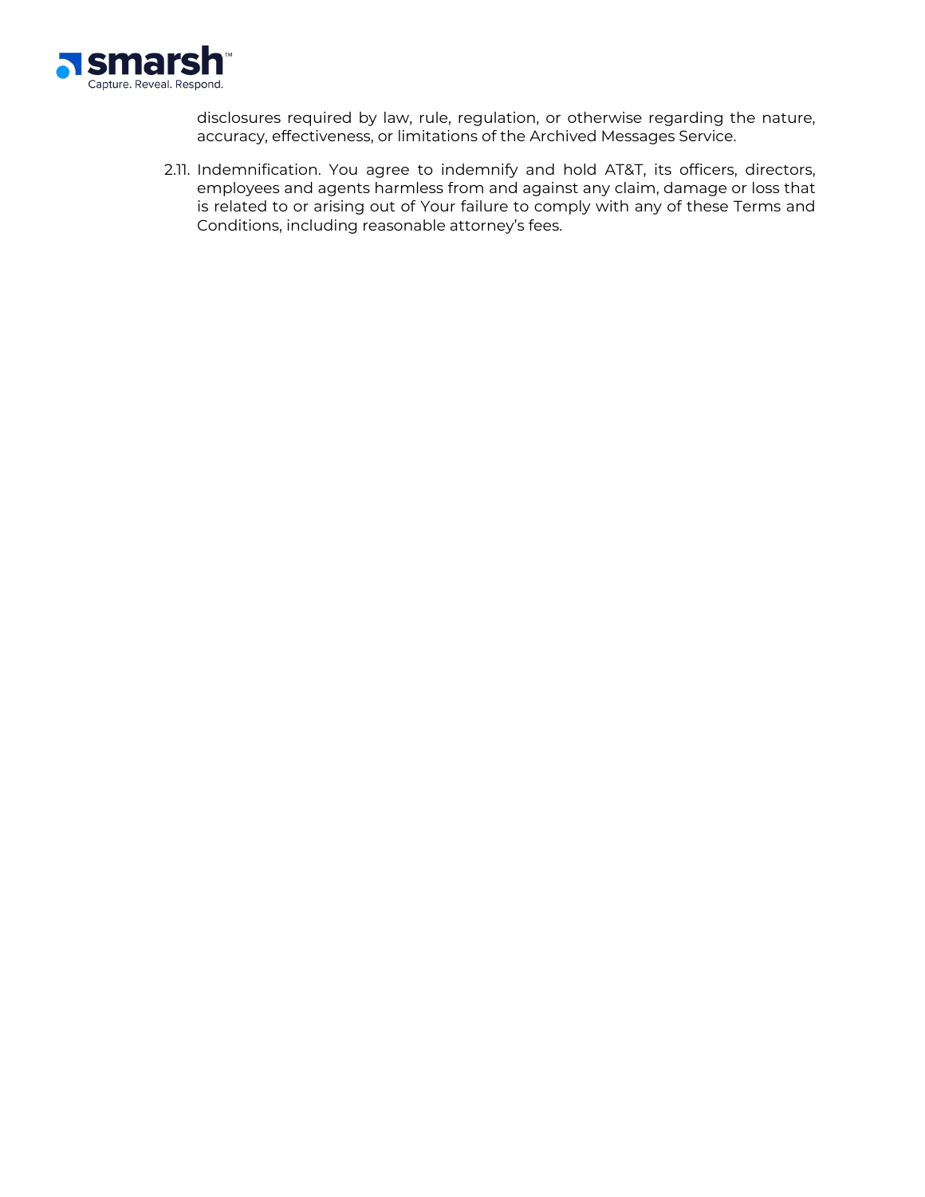

disclosures required by law, rule, regulation, or otherwise regarding the nature, accuracy, effectiveness, or limitations of the Archived Messages Service.

2.11. Indemnification. You agree to indemnify and hold AT&T, its officers, directors, employees and agents harmless from and against any claim, damage or loss that is related to or arising out of Your failure to comply with any of these Terms and Conditions, including reasonable attorney's fees.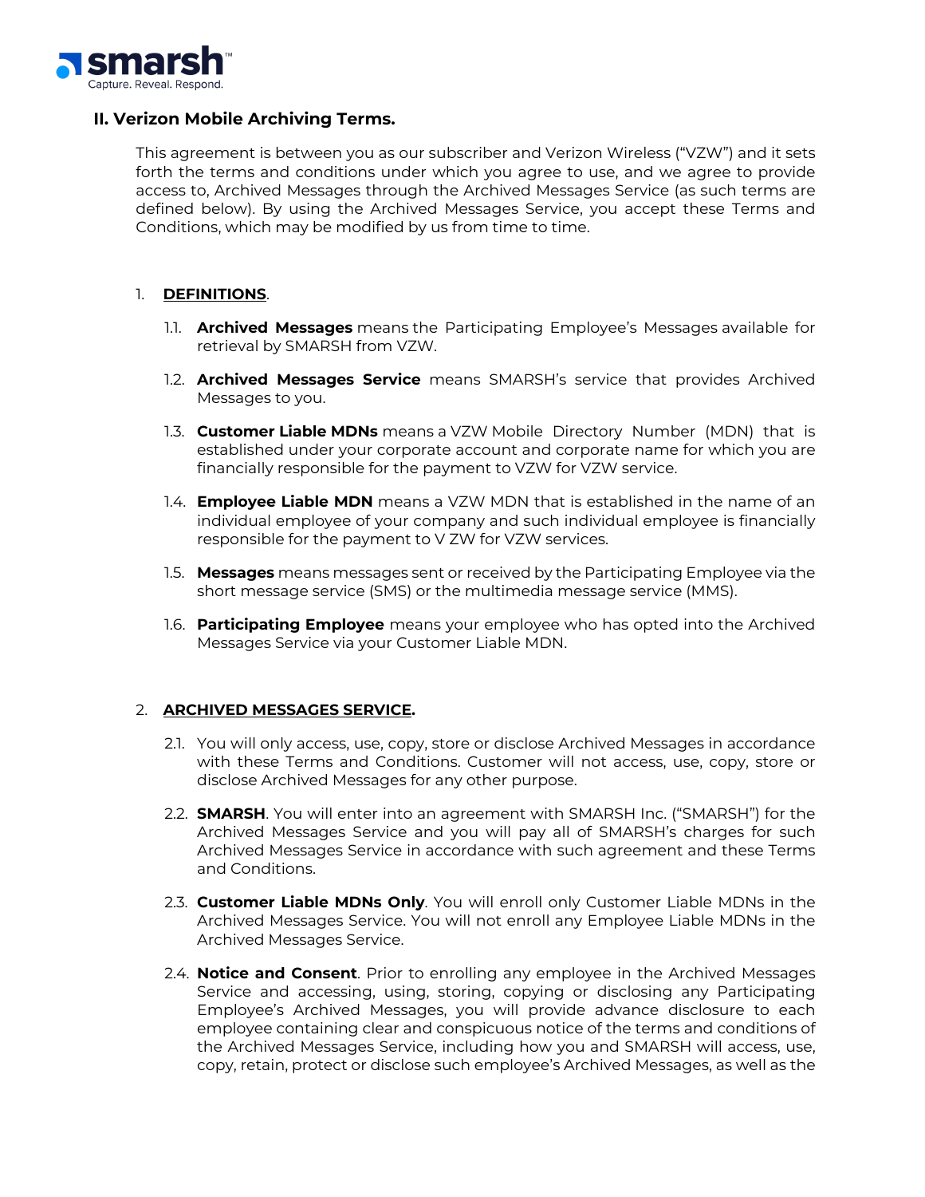

### **II. Verizon Mobile Archiving Terms.**

This agreement is between you as our subscriber and Verizon Wireless ("VZW") and it sets forth the terms and conditions under which you agree to use, and we agree to provide access to, Archived Messages through the Archived Messages Service (as such terms are defined below). By using the Archived Messages Service, you accept these Terms and Conditions, which may be modified by us from time to time.

#### 1. **DEFINITIONS**.

- 1.1. **Archived Messages** means the Participating Employee's Messages available for retrieval by SMARSH from VZW.
- 1.2. **Archived Messages Service** means SMARSH's service that provides Archived Messages to you.
- 1.3. **Customer Liable MDNs** means a VZW Mobile Directory Number (MDN) that is established under your corporate account and corporate name for which you are financially responsible for the payment to VZW for VZW service.
- 1.4. **Employee Liable MDN** means a VZW MDN that is established in the name of an individual employee of your company and such individual employee is financially responsible for the payment to V ZW for VZW services.
- 1.5. **Messages** means messages sent or received by the Participating Employee via the short message service (SMS) or the multimedia message service (MMS).
- 1.6. **Participating Employee** means your employee who has opted into the Archived Messages Service via your Customer Liable MDN.

#### 2. **ARCHIVED MESSAGES SERVICE.**

- 2.1. You will only access, use, copy, store or disclose Archived Messages in accordance with these Terms and Conditions. Customer will not access, use, copy, store or disclose Archived Messages for any other purpose.
- 2.2. **SMARSH**. You will enter into an agreement with SMARSH Inc. ("SMARSH") for the Archived Messages Service and you will pay all of SMARSH's charges for such Archived Messages Service in accordance with such agreement and these Terms and Conditions.
- 2.3. **Customer Liable MDNs Only**. You will enroll only Customer Liable MDNs in the Archived Messages Service. You will not enroll any Employee Liable MDNs in the Archived Messages Service.
- 2.4. **Notice and Consent**. Prior to enrolling any employee in the Archived Messages Service and accessing, using, storing, copying or disclosing any Participating Employee's Archived Messages, you will provide advance disclosure to each employee containing clear and conspicuous notice of the terms and conditions of the Archived Messages Service, including how you and SMARSH will access, use, copy, retain, protect or disclose such employee's Archived Messages, as well as the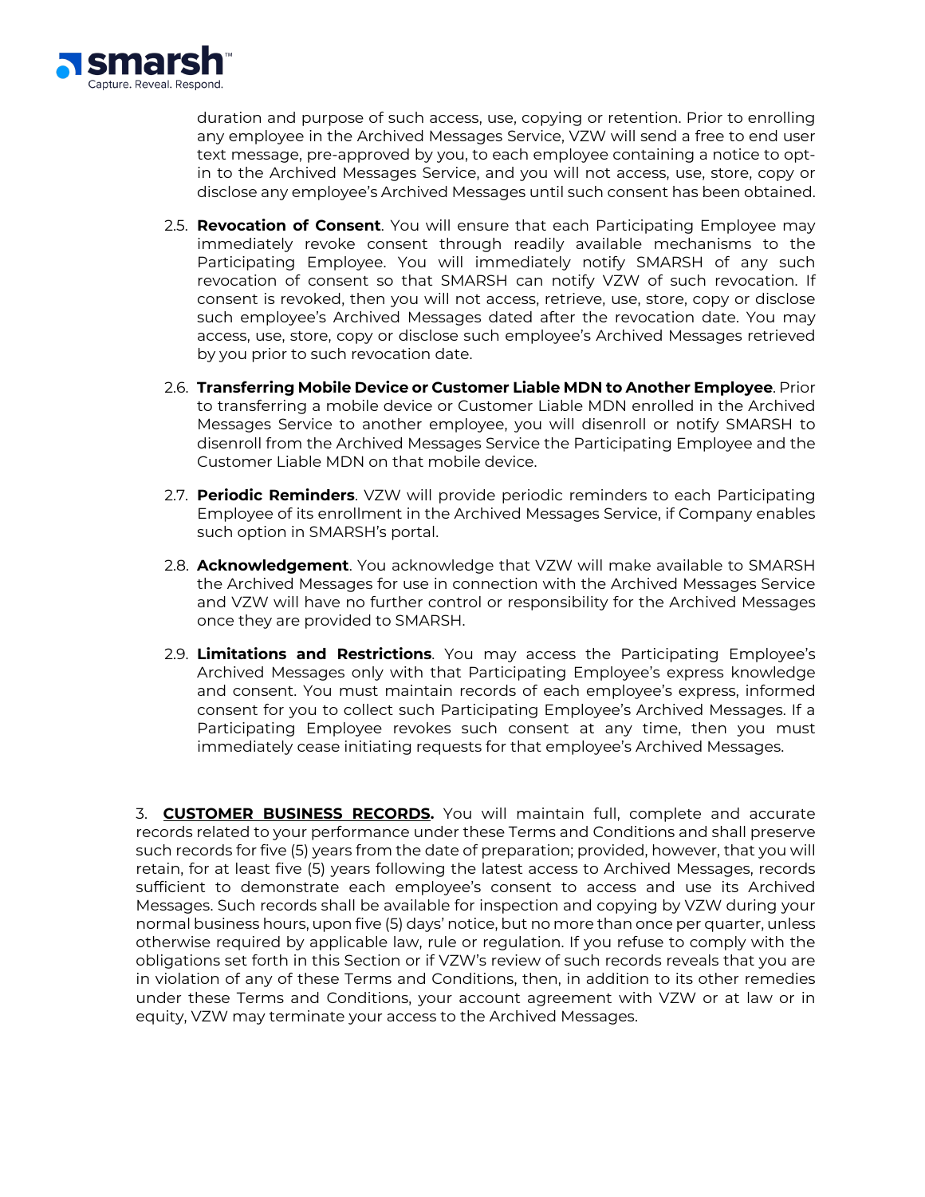

duration and purpose of such access, use, copying or retention. Prior to enrolling any employee in the Archived Messages Service, VZW will send a free to end user text message, pre-approved by you, to each employee containing a notice to optin to the Archived Messages Service, and you will not access, use, store, copy or disclose any employee's Archived Messages until such consent has been obtained.

- 2.5. **Revocation of Consent**. You will ensure that each Participating Employee may immediately revoke consent through readily available mechanisms to the Participating Employee. You will immediately notify SMARSH of any such revocation of consent so that SMARSH can notify VZW of such revocation. If consent is revoked, then you will not access, retrieve, use, store, copy or disclose such employee's Archived Messages dated after the revocation date. You may access, use, store, copy or disclose such employee's Archived Messages retrieved by you prior to such revocation date.
- 2.6. **Transferring Mobile Device or Customer Liable MDN to Another Employee**. Prior to transferring a mobile device or Customer Liable MDN enrolled in the Archived Messages Service to another employee, you will disenroll or notify SMARSH to disenroll from the Archived Messages Service the Participating Employee and the Customer Liable MDN on that mobile device.
- 2.7. **Periodic Reminders**. VZW will provide periodic reminders to each Participating Employee of its enrollment in the Archived Messages Service, if Company enables such option in SMARSH's portal.
- 2.8. **Acknowledgement**. You acknowledge that VZW will make available to SMARSH the Archived Messages for use in connection with the Archived Messages Service and VZW will have no further control or responsibility for the Archived Messages once they are provided to SMARSH.
- 2.9. **Limitations and Restrictions**. You may access the Participating Employee's Archived Messages only with that Participating Employee's express knowledge and consent. You must maintain records of each employee's express, informed consent for you to collect such Participating Employee's Archived Messages. If a Participating Employee revokes such consent at any time, then you must immediately cease initiating requests for that employee's Archived Messages.

3. **CUSTOMER BUSINESS RECORDS.** You will maintain full, complete and accurate records related to your performance under these Terms and Conditions and shall preserve such records for five (5) years from the date of preparation; provided, however, that you will retain, for at least five (5) years following the latest access to Archived Messages, records sufficient to demonstrate each employee's consent to access and use its Archived Messages. Such records shall be available for inspection and copying by VZW during your normal business hours, upon five (5) days' notice, but no more than once per quarter, unless otherwise required by applicable law, rule or regulation. If you refuse to comply with the obligations set forth in this Section or if VZW's review of such records reveals that you are in violation of any of these Terms and Conditions, then, in addition to its other remedies under these Terms and Conditions, your account agreement with VZW or at law or in equity, VZW may terminate your access to the Archived Messages.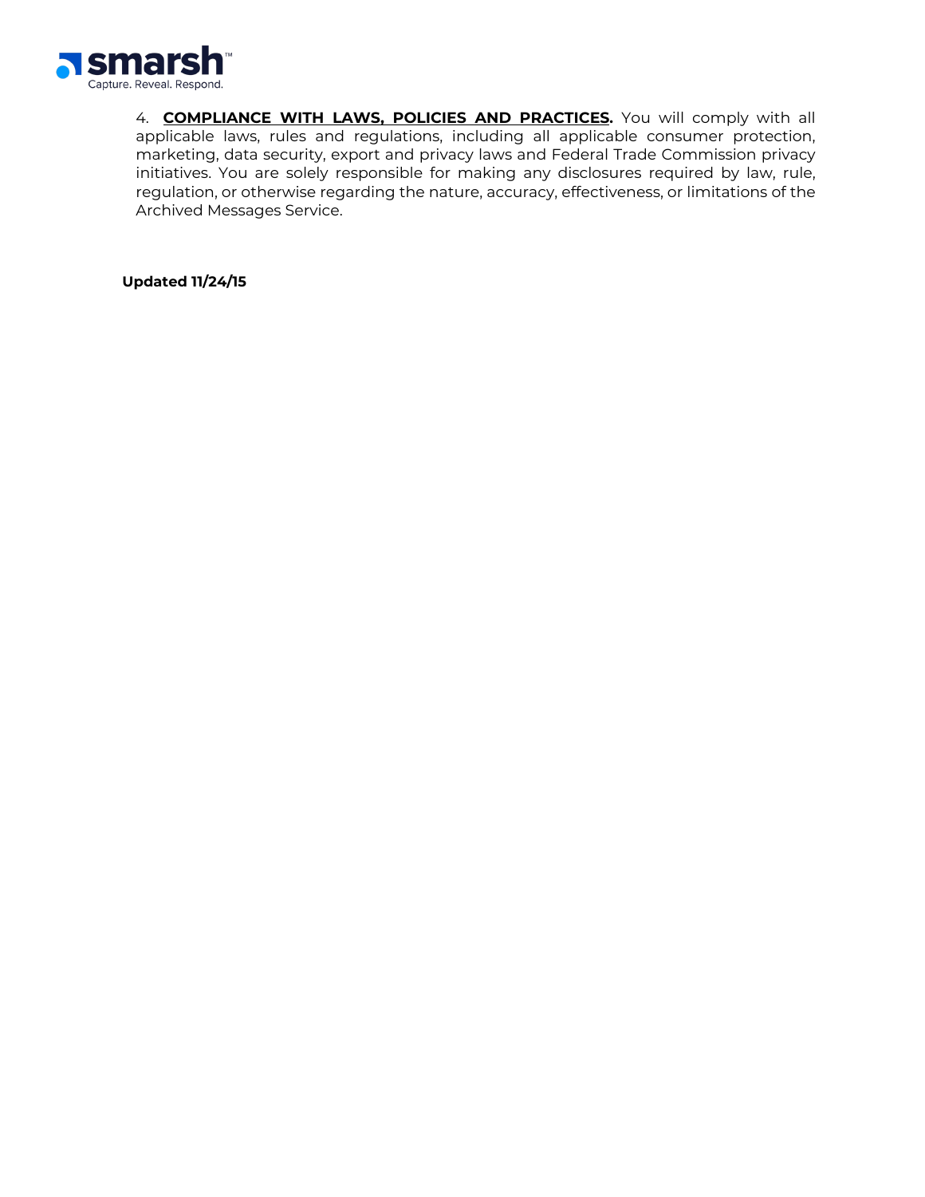

4. **COMPLIANCE WITH LAWS, POLICIES AND PRACTICES.** You will comply with all applicable laws, rules and regulations, including all applicable consumer protection, marketing, data security, export and privacy laws and Federal Trade Commission privacy initiatives. You are solely responsible for making any disclosures required by law, rule, regulation, or otherwise regarding the nature, accuracy, effectiveness, or limitations of the Archived Messages Service.

**Updated 11/24/15**